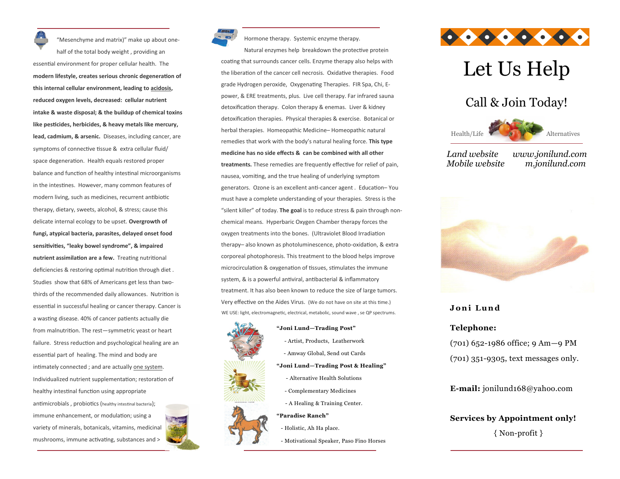"Mesenchyme and matrix)" make up about onehalf of the total body weight , providing an essential environment for proper cellular health. The **modern lifestyle, creates serious chronic degeneration of this internal cellular environment, leading to acidosis, reduced oxygen levels, decreased: cellular nutrient intake & waste disposal; & the buildup of chemical toxins like pesticides, herbicides, & heavy metals like mercury, lead, cadmium, & arsenic.** Diseases, including cancer, are symptoms of connective tissue & extra cellular fluid/ space degeneration. Health equals restored proper balance and function of healthy intestinal microorganisms in the intestines. However, many common features of modern living, such as medicines, recurrent antibiotic therapy, dietary, sweets, alcohol, & stress; cause this delicate internal ecology to be upset. **Overgrowth of fungi, atypical bacteria, parasites, delayed onset food sensitivities, "leaky bowel syndrome", & impaired nutrient assimilation are a few.** Treating nutritional deficiencies & restoring optimal nutrition through diet . Studies show that 68% of Americans get less than two-

thirds of the recommended daily allowances. Nutrition is essential in successful healing or cancer therapy. Cancer is a wasting disease. 40% of cancer patients actually die from malnutrition. The rest—symmetric yeast or heart failure. Stress reduction and psychological healing are an essential part of healing. The mind and body are intimately connected ; and are actually one system. Individualized nutrient supplementation; restoration of healthy intestinal function using appropriate antimicrobials , probiotics (healthy intestinal bacteria); immune enhancement, or modulation; using a variety of minerals, botanicals, vitamins, medicinal mushrooms, immune activating, substances and >



Hormone therapy. Systemic enzyme therapy.

Natural enzymes help breakdown the protective protein coating that surrounds cancer cells. Enzyme therapy also helps with the liberation of the cancer cell necrosis. Oxidative therapies. Food grade Hydrogen peroxide, Oxygenating Therapies. FIR Spa, Chi, Epower, & ERE treatments, plus. Live cell therapy. Far infrared sauna detoxification therapy. Colon therapy & enemas. Liver & kidney detoxification therapies. Physical therapies & exercise. Botanical or herbal therapies. Homeopathic Medicine– Homeopathic natural remedies that work with the body's natural healing force. **This type medicine has no side effects & can be combined with all other treatments.** These remedies are frequently effective for relief of pain, nausea, vomiting, and the true healing of underlying symptom generators. Ozone is an excellent anti-cancer agent . Education– You must have a complete understanding of your therapies. Stress is the "silent killer" of today. **The goal** is to reduce stress & pain through nonchemical means. Hyperbaric Oxygen Chamber therapy forces the oxygen treatments into the bones. (Ultraviolet Blood Irradiation therapy– also known as photoluminescence, photo-oxidation, & extra corporeal photophoresis. This treatment to the blood helps improve microcirculation & oxygenation of tissues, stimulates the immune system, & is a powerful antiviral, antibacterial & inflammatory treatment. It has also been known to reduce the size of large tumors. Very effective on the Aides Virus. (We do not have on site at this time.) WE USE: light, electromagnetic, electrical, metabolic, sound wave , se QP spectrums.



#### **"Joni Lund—Trading Post"**

- Artist, Products, Leatherwork

- Amway Global, Send out Cards

#### **"Joni Lund—Trading Post & Healing"**

- Alternative Health Solutions
- Complementary Medicines
- A Healing & Training Center.

#### **"Paradise Ranch"**

- Holistic, Ah Ha place.
- Motivational Speaker, Paso Fino Horses



# Let Us Help

### Call & Join Today!



*Land website www.jonilund.com Mobile website m.jonilund.com*



#### **J o n i L u n d**

#### **Telephone:**

(701) 652-1986 office; 9 Am—9 PM (701) 351-9305, text messages only.

**E-mail:** jonilund168@yahoo.com

## **Services by Appointment only!**

{ Non-profit }